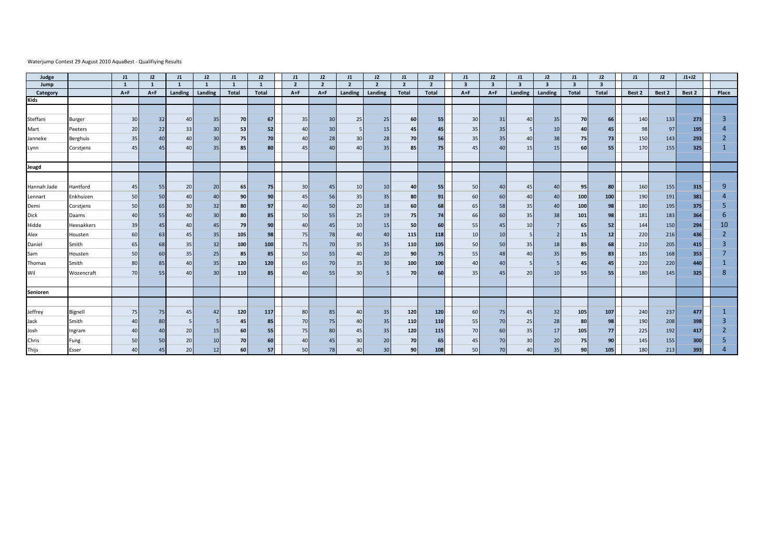## Waterjump Contest 29 August 2010 AquaBest - Qualifiying Results

| Judge       |            | J1           | 12           | J1           | 12              | $_{11}$      | J2              | J1             | J2             | J1             | J2                       | J1              | J2             | J1                      | 12 <sup>2</sup>         | J1      | J2                      | J1                      | J2           | J1     | J2     | $J1+J2$ |                |
|-------------|------------|--------------|--------------|--------------|-----------------|--------------|-----------------|----------------|----------------|----------------|--------------------------|-----------------|----------------|-------------------------|-------------------------|---------|-------------------------|-------------------------|--------------|--------|--------|---------|----------------|
| Jump        |            | $\mathbf{1}$ | $\mathbf{1}$ | $\mathbf{1}$ | $\mathbf{1}$    | $\mathbf{1}$ |                 | $\overline{2}$ | $\overline{2}$ | $\overline{2}$ | $\overline{\phantom{a}}$ | $\overline{2}$  | $\overline{2}$ | $\overline{\mathbf{3}}$ | $\overline{\mathbf{3}}$ | 3       | $\overline{\mathbf{3}}$ | $\overline{\mathbf{3}}$ | $\mathbf{a}$ |        |        |         |                |
| Category    |            | $A + F$      | $A + F$      | Landing      | Landing         | Total        | <b>Total</b>    | $A + F$        | $A + F$        | Landing        | Landing                  | <b>Total</b>    | <b>Total</b>   | $A + F$                 | $A + F$                 | Landing | Landing                 | <b>Total</b>            | Total        | Best 2 | Best 2 | Best 2  | Place          |
| <b>Kids</b> |            |              |              |              |                 |              |                 |                |                |                |                          |                 |                |                         |                         |         |                         |                         |              |        |        |         |                |
|             |            |              |              |              |                 |              |                 |                |                |                |                          |                 |                |                         |                         |         |                         |                         |              |        |        |         |                |
| Steffani    | Burger     | 30           | 32           | 40           | 35              | 70           | 67              | 35             | 30             | 25             | 25                       | 60              | 55             | 30                      | 31                      | 40      | 35                      | 70                      | 66           | 140    | 133    | 273     | $\overline{3}$ |
| Mart        | Peeters    | 20           | 22           | 33           | 30              | -53          | 52              | 40             | 30             |                | 15                       | 45              | 45             | 35                      | 35                      |         | 10                      | 40                      | 45           | 98     | 97     | 195     |                |
| Janneke     | Berghuis   | 35           | 40           | 40           | 30              | 75           | 70              | 40             | 28             | 30             | 28                       | 70              | 56             | 35                      | 35                      | 40      | 38                      | 75                      | 73           | 150    | 143    | 293     | $\overline{2}$ |
| Lynn        | Corstjens  | 45           | 45           | 40           | 35              | 85           | 80              | 45             | 40             | 40             | 35                       | 85              | 75             | 45                      | 40                      | 15      | 15                      | 60                      | 55           | 170    | 155    | 325     |                |
|             |            |              |              |              |                 |              |                 |                |                |                |                          |                 |                |                         |                         |         |                         |                         |              |        |        |         |                |
| Jeugd       |            |              |              |              |                 |              |                 |                |                |                |                          |                 |                |                         |                         |         |                         |                         |              |        |        |         |                |
|             |            |              |              |              |                 |              |                 |                |                |                |                          |                 |                |                         |                         |         |                         |                         |              |        |        |         |                |
| Hannah Jade | Hantford   | 45           | 55           | 20           | 20              | 65           | 75              | 30             | 45             | 10             | 10                       | 40              | 55             | 50                      | 40                      | 45      | 40                      | 95                      | 80           | 160    | 155    | 315     | 9              |
| Lennart     | Enkhuizen  | 50           | 50           | 40           | 40              | 90           | 90              | 45             | 56             | 35             | 35                       | 80              | 91             | 60                      | 60                      | 40      | 40                      | 100                     | 100          | 190    | 191    | 381     | Δ              |
| Demi        | Corstjens  | 50           | 65           | 30           | 32              | 80           | 97              | 40             | 50             | 20             | 18                       | 60              | 68             | 65                      | 58                      | 35      | 40                      | 100                     | 98           | 180    | 195    | 375     | 5              |
| <b>Dick</b> | Daams      | 40           | 55           | 40           | 30 <sup>1</sup> | 80           | 85              | 50             | 55             | 25             | 19                       | 75              | 74             | 66                      | 60                      | 35      | 38                      | 101                     | 98           | 181    | 183    | 364     | 6              |
| Hidde       | Heesakkers | 39           | 45           | 40           | 45              | 79           | 90 <sub>1</sub> | 40             | 45             | 10             | 15                       | 50              | 60             | 55                      | 45                      | 10      |                         | 65                      | 52           | 144    | 150    | 294     | 10             |
| Alex        | Housten    | 60           | 63           | 45           | 35              | 105          | 98              | 75             | 78             | 40             | 40                       | 115             | 118            | 10                      | 10                      | 5       |                         | 15                      | 12           | 220    | 216    | 436     | $\overline{2}$ |
| Daniel      | Smith      | 65           | 68           | 35           | 32              | 100          | 100             | 75             | 70             | 35             | 35                       | 110             | 105            | 50                      | 50                      | 35      | 18                      | 85                      | 68           | 210    | 205    | 415     | $\overline{3}$ |
| Sam         | Housten    | 50           | 60           | 35           | 25              | 85           | 85              | 50             | 55             | 40             | 20                       | 90 <sub>1</sub> | 75             | 55                      | 48                      | 40      | 35                      | 95                      | 83           | 185    | 168    | 353     |                |
| Thomas      | Smith      | 80           | 85           | 40           | 35              | 120          | 120             | 65             | 70             | 35             | 30                       | 100             | 100            | 40                      | 40                      | 5       |                         | 45                      | 45           | 220    | 220    | 440     |                |
| Wil         | Wozencraft | 70           | 55           | 40           | 30 <sup>1</sup> | 110          | 85              | 40             | 55             | 30             |                          | 70              | 60             | 35                      | 45                      | 20      | 10                      | 55                      | 55           | 180    | 145    | 325     | 8              |
|             |            |              |              |              |                 |              |                 |                |                |                |                          |                 |                |                         |                         |         |                         |                         |              |        |        |         |                |
| Senioren    |            |              |              |              |                 |              |                 |                |                |                |                          |                 |                |                         |                         |         |                         |                         |              |        |        |         |                |
|             |            |              |              |              |                 |              |                 |                |                |                |                          |                 |                |                         |                         |         |                         |                         |              |        |        |         |                |
| Jeffrey     | Bignell    | 75           | 75           | 45           | 42              | 120          | 117             | 80             | 85             | 40             | 35                       | 120             | 120            | 60                      | 75                      | 45      | 32                      | 105                     | 107          | 240    | 237    | 477     |                |
| Jack        | Smith      | 40           | 80           |              |                 | 45           | 85              | 70             | 75             | 40             | 35                       | 110             | 110            | 55                      | 70                      | 25      | 28                      | 80                      | 98           | 190    | 208    | 398     | 3              |
| Josh        | Ingram     | 40           | 40           | 20           | 15              | 60           | 55              | 75             | 80             | 45             | 35                       | 120             | 115            | 70                      | 60                      | 35      | 17                      | 105                     | 77           | 225    | 192    | 417     | $\overline{2}$ |
| Chris       | Fung       | 50           | 50           | 20           | 10              | 70           | 60              | 40             | 45             | 30             | 20                       | 70              | 65             | 45                      | 70                      | 30      | 20                      | 75                      | 90           | 145    | 155    | 300     | 5              |
| Thijs       | Esser      | 40           | 45           | 20           | 12              | 60           | 57              | 50             | 78             | 40             | 30                       | 90              | 108            | 50                      | 70                      | 40      | 35                      | 90                      | 105          | 180    | 213    | 393     |                |